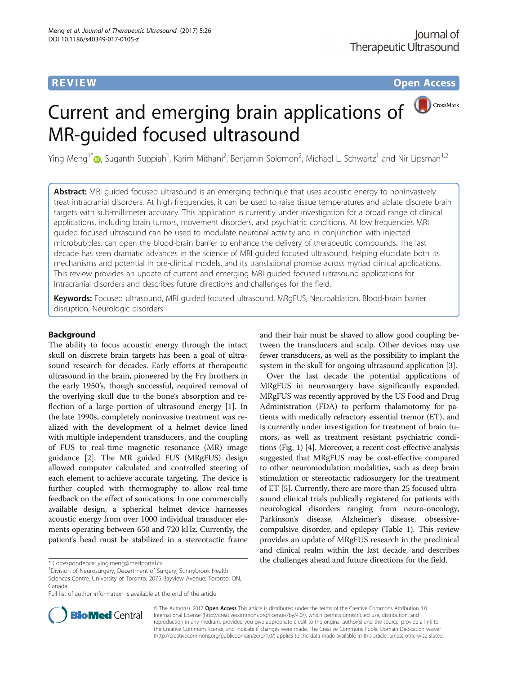**REVIEW CONSTRUCTION CONSTRUCTION CONSTRUCTS** 

# CrossMark Current and emerging brain applications of MR-guided focused ultrasound

Ying Meng<sup>1[\\*](http://orcid.org/0000-0003-3180-2404)</sup>@, Suganth Suppiah<sup>1</sup>, Karim Mithani<sup>2</sup>, Benjamin Solomon<sup>2</sup>, Michael L. Schwartz<sup>1</sup> and Nir Lipsman<sup>1,2</sup>

Abstract: MRI guided focused ultrasound is an emerging technique that uses acoustic energy to noninvasively treat intracranial disorders. At high frequencies, it can be used to raise tissue temperatures and ablate discrete brain targets with sub-millimeter accuracy. This application is currently under investigation for a broad range of clinical applications, including brain tumors, movement disorders, and psychiatric conditions. At low frequencies MRI guided focused ultrasound can be used to modulate neuronal activity and in conjunction with injected microbubbles, can open the blood-brain barrier to enhance the delivery of therapeutic compounds. The last decade has seen dramatic advances in the science of MRI guided focused ultrasound, helping elucidate both its mechanisms and potential in pre-clinical models, and its translational promise across myriad clinical applications. This review provides an update of current and emerging MRI guided focused ultrasound applications for intracranial disorders and describes future directions and challenges for the field.

Keywords: Focused ultrasound, MRI quided focused ultrasound, MRgFUS, Neuroablation, Blood-brain barrier disruption, Neurologic disorders

# Background

The ability to focus acoustic energy through the intact skull on discrete brain targets has been a goal of ultrasound research for decades. Early efforts at therapeutic ultrasound in the brain, pioneered by the Fry brothers in the early 1950's, though successful, required removal of the overlying skull due to the bone's absorption and reflection of a large portion of ultrasound energy [\[1](#page-6-0)]. In the late 1990s, completely noninvasive treatment was realized with the development of a helmet device lined with multiple independent transducers, and the coupling of FUS to real-time magnetic resonance (MR) image guidance [\[2](#page-6-0)]. The MR guided FUS (MRgFUS) design allowed computer calculated and controlled steering of each element to achieve accurate targeting. The device is further coupled with thermography to allow real-time feedback on the effect of sonications. In one commercially available design, a spherical helmet device harnesses acoustic energy from over 1000 individual transducer elements operating between 650 and 720 kHz. Currently, the patient's head must be stabilized in a stereotactic frame

Sciences Centre, University of Toronto, 2075 Bayview Avenue, Toronto, ON, Canada

Full list of author information is available at the end of the article



© The Author(s). 2017 **Open Access** This article is distributed under the terms of the Creative Commons Attribution 4.0 International License [\(http://creativecommons.org/licenses/by/4.0/](http://creativecommons.org/licenses/by/4.0/)), which permits unrestricted use, distribution, and reproduction in any medium, provided you give appropriate credit to the original author(s) and the source, provide a link to the Creative Commons license, and indicate if changes were made. The Creative Commons Public Domain Dedication waiver [\(http://creativecommons.org/publicdomain/zero/1.0/](http://creativecommons.org/publicdomain/zero/1.0/)) applies to the data made available in this article, unless otherwise stated.

and their hair must be shaved to allow good coupling between the transducers and scalp. Other devices may use fewer transducers, as well as the possibility to implant the system in the skull for ongoing ultrasound application [\[3](#page-6-0)].

Over the last decade the potential applications of MRgFUS in neurosurgery have significantly expanded. MRgFUS was recently approved by the US Food and Drug Administration (FDA) to perform thalamotomy for patients with medically refractory essential tremor (ET), and is currently under investigation for treatment of brain tumors, as well as treatment resistant psychiatric conditions (Fig. [1](#page-1-0)) [\[4](#page-6-0)]. Moreover, a recent cost-effective analysis suggested that MRgFUS may be cost-effective compared to other neuromodulation modalities, such as deep brain stimulation or stereotactic radiosurgery for the treatment of ET [[5\]](#page-6-0). Currently, there are more than 25 focused ultrasound clinical trials publically registered for patients with neurological disorders ranging from neuro-oncology, Parkinson's disease, Alzheimer's disease, obsessivecompulsive disorder, and epilepsy (Table [1](#page-1-0)). This review provides an update of MRgFUS research in the preclinical and clinical realm within the last decade, and describes \* Correspondence: [ying.meng@medportal.ca](mailto:ying.meng@medportal.ca) **1999 the challenges ahead and future directions for the field.** 

<sup>&</sup>lt;sup>1</sup> Division of Neurosurgery, Department of Surgery, Sunnybrook Health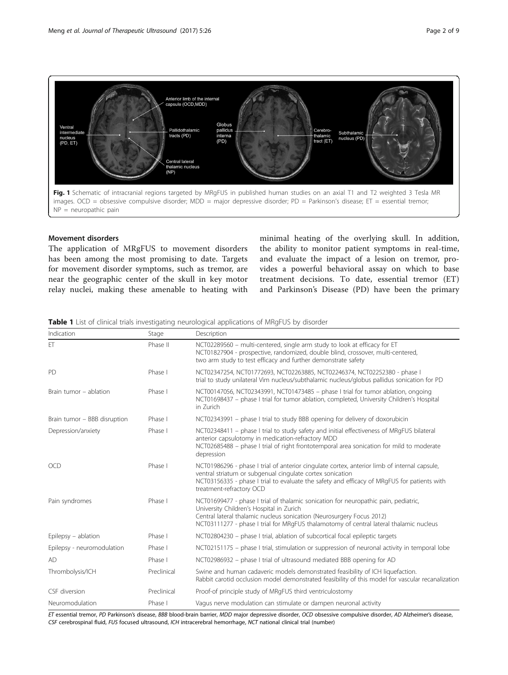<span id="page-1-0"></span>

# Movement disorders

The application of MRgFUS to movement disorders has been among the most promising to date. Targets for movement disorder symptoms, such as tremor, are near the geographic center of the skull in key motor relay nuclei, making these amenable to heating with

minimal heating of the overlying skull. In addition, the ability to monitor patient symptoms in real-time, and evaluate the impact of a lesion on tremor, provides a powerful behavioral assay on which to base treatment decisions. To date, essential tremor (ET) and Parkinson's Disease (PD) have been the primary

|  |  |  |  |  |  |  | Table 1 List of clinical trials investigating neurological applications of MRgFUS by disorder |  |
|--|--|--|--|--|--|--|-----------------------------------------------------------------------------------------------|--|
|--|--|--|--|--|--|--|-----------------------------------------------------------------------------------------------|--|

| Indication                   | Stage       | Description                                                                                                                                                                                                                                                                                        |
|------------------------------|-------------|----------------------------------------------------------------------------------------------------------------------------------------------------------------------------------------------------------------------------------------------------------------------------------------------------|
| ET                           | Phase II    | NCT02289560 - multi-centered, single arm study to look at efficacy for ET<br>NCT01827904 - prospective, randomized, double blind, crossover, multi-centered,<br>two arm study to test efficacy and further demonstrate safety                                                                      |
| <b>PD</b>                    | Phase I     | NCT02347254, NCT01772693, NCT02263885, NCT02246374, NCT02252380 - phase I<br>trial to study unilateral Vim nucleus/subthalamic nucleus/globus pallidus sonication for PD                                                                                                                           |
| Brain tumor - ablation       | Phase I     | NCT00147056, NCT02343991, NCT01473485 - phase I trial for tumor ablation, ongoing<br>NCT01698437 - phase I trial for tumor ablation, completed, University Children's Hospital<br>in Zurich                                                                                                        |
| Brain tumor - BBB disruption | Phase I     | NCT02343991 – phase I trial to study BBB opening for delivery of doxorubicin                                                                                                                                                                                                                       |
| Depression/anxiety           | Phase I     | NCT02348411 - phase I trial to study safety and initial effectiveness of MRqFUS bilateral<br>anterior capsulotomy in medication-refractory MDD<br>NCT02685488 - phase I trial of right frontotemporal area sonication for mild to moderate<br>depression                                           |
| <b>OCD</b>                   | Phase I     | NCT01986296 - phase I trial of anterior cingulate cortex, anterior limb of internal capsule,<br>ventral striatum or subgenual cingulate cortex sonication<br>NCT03156335 - phase I trial to evaluate the safety and efficacy of MRgFUS for patients with<br>treatment-refractory OCD               |
| Pain syndromes               | Phase I     | NCT01699477 - phase I trial of thalamic sonication for neuropathic pain, pediatric,<br>University Children's Hospital in Zurich<br>Central lateral thalamic nucleus sonication (Neurosurgery Focus 2012)<br>NCT03111277 - phase I trial for MRqFUS thalamotomy of central lateral thalamic nucleus |
| Epilepsy - ablation          | Phase I     | NCT02804230 - phase I trial, ablation of subcortical focal epileptic targets                                                                                                                                                                                                                       |
| Epilepsy - neuromodulation   | Phase I     | NCT02151175 – phase I trial, stimulation or suppression of neuronal activity in temporal lobe                                                                                                                                                                                                      |
| <b>AD</b>                    | Phase I     | NCT02986932 – phase I trial of ultrasound mediated BBB opening for AD                                                                                                                                                                                                                              |
| Thrombolysis/ICH             | Preclinical | Swine and human cadaveric models demonstrated feasibility of ICH liquefaction.<br>Rabbit carotid occlusion model demonstrated feasibility of this model for vascular recanalization                                                                                                                |
| CSF diversion                | Preclinical | Proof-of principle study of MRqFUS third ventriculostomy                                                                                                                                                                                                                                           |
| Neuromodulation              | Phase I     | Vagus nerve modulation can stimulate or dampen neuronal activity                                                                                                                                                                                                                                   |

ET essential tremor, PD Parkinson's disease, BBB blood-brain barrier, MDD major depressive disorder, OCD obsessive compulsive disorder, AD Alzheimer's disease, CSF cerebrospinal fluid, FUS focused ultrasound, ICH intracerebral hemorrhage, NCT national clinical trial (number)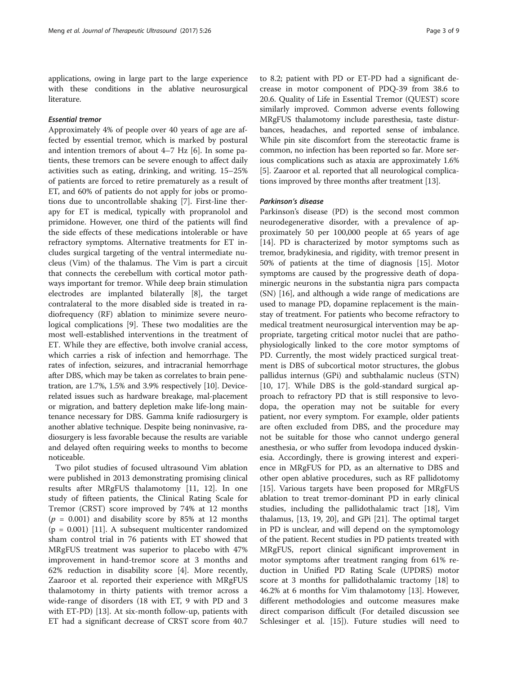applications, owing in large part to the large experience with these conditions in the ablative neurosurgical literature.

# Essential tremor

Approximately 4% of people over 40 years of age are affected by essential tremor, which is marked by postural and intention tremors of about 4–7 Hz [[6\]](#page-6-0). In some patients, these tremors can be severe enough to affect daily activities such as eating, drinking, and writing. 15–25% of patients are forced to retire prematurely as a result of ET, and 60% of patients do not apply for jobs or promotions due to uncontrollable shaking [\[7\]](#page-6-0). First-line therapy for ET is medical, typically with propranolol and primidone. However, one third of the patients will find the side effects of these medications intolerable or have refractory symptoms. Alternative treatments for ET includes surgical targeting of the ventral intermediate nucleus (Vim) of the thalamus. The Vim is part a circuit that connects the cerebellum with cortical motor pathways important for tremor. While deep brain stimulation electrodes are implanted bilaterally [\[8](#page-6-0)], the target contralateral to the more disabled side is treated in radiofrequency (RF) ablation to minimize severe neurological complications [[9\]](#page-6-0). These two modalities are the most well-established interventions in the treatment of ET. While they are effective, both involve cranial access, which carries a risk of infection and hemorrhage. The rates of infection, seizures, and intracranial hemorrhage after DBS, which may be taken as correlates to brain penetration, are 1.7%, 1.5% and 3.9% respectively [\[10\]](#page-6-0). Devicerelated issues such as hardware breakage, mal-placement or migration, and battery depletion make life-long maintenance necessary for DBS. Gamma knife radiosurgery is another ablative technique. Despite being noninvasive, radiosurgery is less favorable because the results are variable and delayed often requiring weeks to months to become noticeable.

Two pilot studies of focused ultrasound Vim ablation were published in 2013 demonstrating promising clinical results after MRgFUS thalamotomy [\[11](#page-6-0), [12](#page-6-0)]. In one study of fifteen patients, the Clinical Rating Scale for Tremor (CRST) score improved by 74% at 12 months  $(p = 0.001)$  and disability score by 85% at 12 months  $(p = 0.001)$  [[11\]](#page-6-0). A subsequent multicenter randomized sham control trial in 76 patients with ET showed that MRgFUS treatment was superior to placebo with 47% improvement in hand-tremor score at 3 months and 62% reduction in disability score [\[4](#page-6-0)]. More recently, Zaaroor et al. reported their experience with MRgFUS thalamotomy in thirty patients with tremor across a wide-range of disorders (18 with ET, 9 with PD and 3 with ET-PD) [\[13](#page-6-0)]. At six-month follow-up, patients with ET had a significant decrease of CRST score from 40.7

to 8.2; patient with PD or ET-PD had a significant decrease in motor component of PDQ-39 from 38.6 to 20.6. Quality of Life in Essential Tremor (QUEST) score similarly improved. Common adverse events following MRgFUS thalamotomy include paresthesia, taste disturbances, headaches, and reported sense of imbalance. While pin site discomfort from the stereotactic frame is common, no infection has been reported so far. More serious complications such as ataxia are approximately 1.6% [[5\]](#page-6-0). Zaaroor et al. reported that all neurological complications improved by three months after treatment [[13](#page-6-0)].

#### Parkinson's disease

Parkinson's disease (PD) is the second most common neurodegenerative disorder, with a prevalence of approximately 50 per 100,000 people at 65 years of age [[14\]](#page-6-0). PD is characterized by motor symptoms such as tremor, bradykinesia, and rigidity, with tremor present in 50% of patients at the time of diagnosis [[15\]](#page-6-0). Motor symptoms are caused by the progressive death of dopaminergic neurons in the substantia nigra pars compacta (SN) [\[16\]](#page-6-0), and although a wide range of medications are used to manage PD, dopamine replacement is the mainstay of treatment. For patients who become refractory to medical treatment neurosurgical intervention may be appropriate, targeting critical motor nuclei that are pathophysiologically linked to the core motor symptoms of PD. Currently, the most widely practiced surgical treatment is DBS of subcortical motor structures, the globus pallidus internus (GPi) and subthalamic nucleus (STN) [[10, 17\]](#page-6-0). While DBS is the gold-standard surgical approach to refractory PD that is still responsive to levodopa, the operation may not be suitable for every patient, nor every symptom. For example, older patients are often excluded from DBS, and the procedure may not be suitable for those who cannot undergo general anesthesia, or who suffer from levodopa induced dyskinesia. Accordingly, there is growing interest and experience in MRgFUS for PD, as an alternative to DBS and other open ablative procedures, such as RF pallidotomy [[15\]](#page-6-0). Various targets have been proposed for MRgFUS ablation to treat tremor-dominant PD in early clinical studies, including the pallidothalamic tract [[18](#page-6-0)], Vim thalamus, [[13, 19](#page-6-0), [20\]](#page-6-0), and GPi [[21\]](#page-7-0). The optimal target in PD is unclear, and will depend on the symptomology of the patient. Recent studies in PD patients treated with MRgFUS, report clinical significant improvement in motor symptoms after treatment ranging from 61% reduction in Unified PD Rating Scale (UPDRS) motor score at 3 months for pallidothalamic tractomy [\[18\]](#page-6-0) to 46.2% at 6 months for Vim thalamotomy [[13\]](#page-6-0). However, different methodologies and outcome measures make direct comparison difficult (For detailed discussion see Schlesinger et al. [\[15](#page-6-0)]). Future studies will need to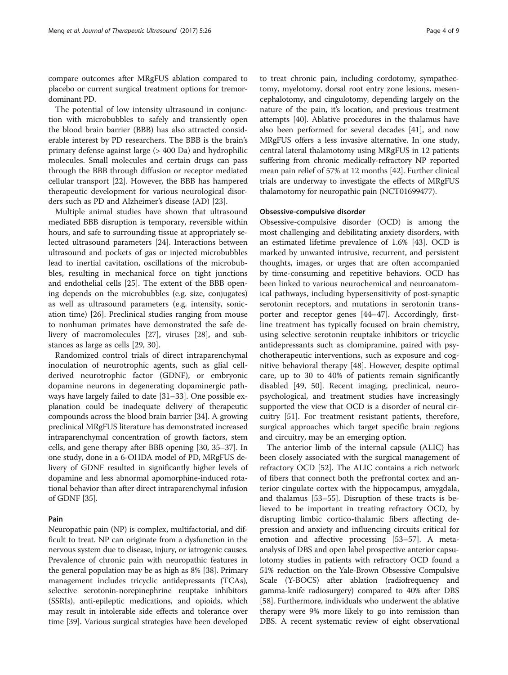compare outcomes after MRgFUS ablation compared to placebo or current surgical treatment options for tremordominant PD.

The potential of low intensity ultrasound in conjunction with microbubbles to safely and transiently open the blood brain barrier (BBB) has also attracted considerable interest by PD researchers. The BBB is the brain's primary defense against large (> 400 Da) and hydrophilic molecules. Small molecules and certain drugs can pass through the BBB through diffusion or receptor mediated cellular transport [[22](#page-7-0)]. However, the BBB has hampered therapeutic development for various neurological disorders such as PD and Alzheimer's disease (AD) [[23\]](#page-7-0).

Multiple animal studies have shown that ultrasound mediated BBB disruption is temporary, reversible within hours, and safe to surrounding tissue at appropriately selected ultrasound parameters [\[24\]](#page-7-0). Interactions between ultrasound and pockets of gas or injected microbubbles lead to inertial cavitation, oscillations of the microbubbles, resulting in mechanical force on tight junctions and endothelial cells [\[25\]](#page-7-0). The extent of the BBB opening depends on the microbubbles (e.g. size, conjugates) as well as ultrasound parameters (e.g. intensity, sonication time) [\[26\]](#page-7-0). Preclinical studies ranging from mouse to nonhuman primates have demonstrated the safe delivery of macromolecules [[27](#page-7-0)], viruses [\[28](#page-7-0)], and substances as large as cells [[29, 30\]](#page-7-0).

Randomized control trials of direct intraparenchymal inoculation of neurotrophic agents, such as glial cellderived neurotrophic factor (GDNF), or embryonic dopamine neurons in degenerating dopaminergic pathways have largely failed to date [[31](#page-7-0)–[33](#page-7-0)]. One possible explanation could be inadequate delivery of therapeutic compounds across the blood brain barrier [[34](#page-7-0)]. A growing preclinical MRgFUS literature has demonstrated increased intraparenchymal concentration of growth factors, stem cells, and gene therapy after BBB opening [\[30, 35](#page-7-0)–[37](#page-7-0)]. In one study, done in a 6-OHDA model of PD, MRgFUS delivery of GDNF resulted in significantly higher levels of dopamine and less abnormal apomorphine-induced rotational behavior than after direct intraparenchymal infusion of GDNF [\[35](#page-7-0)].

### Pain

Neuropathic pain (NP) is complex, multifactorial, and difficult to treat. NP can originate from a dysfunction in the nervous system due to disease, injury, or iatrogenic causes. Prevalence of chronic pain with neuropathic features in the general population may be as high as 8% [\[38\]](#page-7-0). Primary management includes tricyclic antidepressants (TCAs), selective serotonin-norepinephrine reuptake inhibitors (SSRIs), anti-epileptic medications, and opioids, which may result in intolerable side effects and tolerance over time [[39\]](#page-7-0). Various surgical strategies have been developed

to treat chronic pain, including cordotomy, sympathectomy, myelotomy, dorsal root entry zone lesions, mesencephalotomy, and cingulotomy, depending largely on the nature of the pain, it's location, and previous treatment attempts [[40](#page-7-0)]. Ablative procedures in the thalamus have also been performed for several decades [\[41](#page-7-0)], and now MRgFUS offers a less invasive alternative. In one study, central lateral thalamotomy using MRgFUS in 12 patients suffering from chronic medically-refractory NP reported mean pain relief of 57% at 12 months [\[42\]](#page-7-0). Further clinical trials are underway to investigate the effects of MRgFUS thalamotomy for neuropathic pain (NCT01699477).

# Obsessive-compulsive disorder

Obsessive-compulsive disorder (OCD) is among the most challenging and debilitating anxiety disorders, with an estimated lifetime prevalence of 1.6% [\[43\]](#page-7-0). OCD is marked by unwanted intrusive, recurrent, and persistent thoughts, images, or urges that are often accompanied by time-consuming and repetitive behaviors. OCD has been linked to various neurochemical and neuroanatomical pathways, including hypersensitivity of post-synaptic serotonin receptors, and mutations in serotonin transporter and receptor genes [\[44](#page-7-0)–[47\]](#page-7-0). Accordingly, firstline treatment has typically focused on brain chemistry, using selective serotonin reuptake inhibitors or tricyclic antidepressants such as clomipramine, paired with psychotherapeutic interventions, such as exposure and cognitive behavioral therapy [\[48](#page-7-0)]. However, despite optimal care, up to 30 to 40% of patients remain significantly disabled [\[49, 50\]](#page-7-0). Recent imaging, preclinical, neuropsychological, and treatment studies have increasingly supported the view that OCD is a disorder of neural circuitry [\[51](#page-7-0)]. For treatment resistant patients, therefore, surgical approaches which target specific brain regions and circuitry, may be an emerging option.

The anterior limb of the internal capsule (ALIC) has been closely associated with the surgical management of refractory OCD [\[52\]](#page-7-0). The ALIC contains a rich network of fibers that connect both the prefrontal cortex and anterior cingulate cortex with the hippocampus, amygdala, and thalamus [\[53](#page-7-0)–[55\]](#page-7-0). Disruption of these tracts is believed to be important in treating refractory OCD, by disrupting limbic cortico-thalamic fibers affecting depression and anxiety and influencing circuits critical for emotion and affective processing [\[53](#page-7-0)–[57\]](#page-7-0). A metaanalysis of DBS and open label prospective anterior capsulotomy studies in patients with refractory OCD found a 51% reduction on the Yale-Brown Obsessive Compulsive Scale (Y-BOCS) after ablation (radiofrequency and gamma-knife radiosurgery) compared to 40% after DBS [[58](#page-7-0)]. Furthermore, individuals who underwent the ablative therapy were 9% more likely to go into remission than DBS. A recent systematic review of eight observational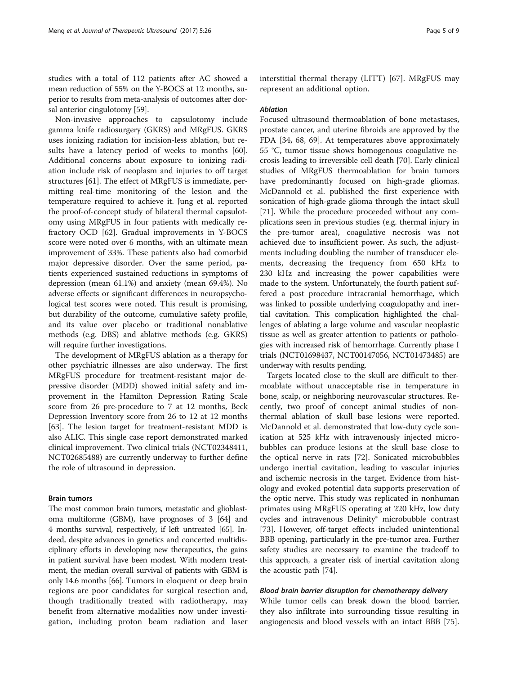studies with a total of 112 patients after AC showed a mean reduction of 55% on the Y-BOCS at 12 months, superior to results from meta-analysis of outcomes after dorsal anterior cingulotomy [[59](#page-7-0)].

Non-invasive approaches to capsulotomy include gamma knife radiosurgery (GKRS) and MRgFUS. GKRS uses ionizing radiation for incision-less ablation, but results have a latency period of weeks to months [\[60](#page-7-0)]. Additional concerns about exposure to ionizing radiation include risk of neoplasm and injuries to off target structures [\[61](#page-7-0)]. The effect of MRgFUS is immediate, permitting real-time monitoring of the lesion and the temperature required to achieve it. Jung et al. reported the proof-of-concept study of bilateral thermal capsulotomy using MRgFUS in four patients with medically refractory OCD [[62](#page-7-0)]. Gradual improvements in Y-BOCS score were noted over 6 months, with an ultimate mean improvement of 33%. These patients also had comorbid major depressive disorder. Over the same period, patients experienced sustained reductions in symptoms of depression (mean 61.1%) and anxiety (mean 69.4%). No adverse effects or significant differences in neuropsychological test scores were noted. This result is promising, but durability of the outcome, cumulative safety profile, and its value over placebo or traditional nonablative methods (e.g. DBS) and ablative methods (e.g. GKRS) will require further investigations.

The development of MRgFUS ablation as a therapy for other psychiatric illnesses are also underway. The first MRgFUS procedure for treatment-resistant major depressive disorder (MDD) showed initial safety and improvement in the Hamilton Depression Rating Scale score from 26 pre-procedure to 7 at 12 months, Beck Depression Inventory score from 26 to 12 at 12 months [[63\]](#page-7-0). The lesion target for treatment-resistant MDD is also ALIC. This single case report demonstrated marked clinical improvement. Two clinical trials (NCT02348411, NCT02685488) are currently underway to further define the role of ultrasound in depression.

## Brain tumors

The most common brain tumors, metastatic and glioblastoma multiforme (GBM), have prognoses of 3 [\[64](#page-7-0)] and 4 months survival, respectively, if left untreated [[65](#page-7-0)]. Indeed, despite advances in genetics and concerted multidisciplinary efforts in developing new therapeutics, the gains in patient survival have been modest. With modern treatment, the median overall survival of patients with GBM is only 14.6 months [[66](#page-7-0)]. Tumors in eloquent or deep brain regions are poor candidates for surgical resection and, though traditionally treated with radiotherapy, may benefit from alternative modalities now under investigation, including proton beam radiation and laser interstitial thermal therapy (LITT) [[67\]](#page-8-0). MRgFUS may represent an additional option.

#### Ablation

Focused ultrasound thermoablation of bone metastases, prostate cancer, and uterine fibroids are approved by the FDA [[34,](#page-7-0) [68](#page-8-0), [69](#page-8-0)]. At temperatures above approximately 55 °C, tumor tissue shows homogenous coagulative necrosis leading to irreversible cell death [\[70\]](#page-8-0). Early clinical studies of MRgFUS thermoablation for brain tumors have predominantly focused on high-grade gliomas. McDannold et al. published the first experience with sonication of high-grade glioma through the intact skull [[71\]](#page-8-0). While the procedure proceeded without any complications seen in previous studies (e.g. thermal injury in the pre-tumor area), coagulative necrosis was not achieved due to insufficient power. As such, the adjustments including doubling the number of transducer elements, decreasing the frequency from 650 kHz to 230 kHz and increasing the power capabilities were made to the system. Unfortunately, the fourth patient suffered a post procedure intracranial hemorrhage, which was linked to possible underlying coagulopathy and inertial cavitation. This complication highlighted the challenges of ablating a large volume and vascular neoplastic tissue as well as greater attention to patients or pathologies with increased risk of hemorrhage. Currently phase I trials (NCT01698437, NCT00147056, NCT01473485) are underway with results pending.

Targets located close to the skull are difficult to thermoablate without unacceptable rise in temperature in bone, scalp, or neighboring neurovascular structures. Recently, two proof of concept animal studies of nonthermal ablation of skull base lesions were reported. McDannold et al. demonstrated that low-duty cycle sonication at 525 kHz with intravenously injected microbubbles can produce lesions at the skull base close to the optical nerve in rats [[72](#page-8-0)]. Sonicated microbubbles undergo inertial cavitation, leading to vascular injuries and ischemic necrosis in the target. Evidence from histology and evoked potential data supports preservation of the optic nerve. This study was replicated in nonhuman primates using MRgFUS operating at 220 kHz, low duty cycles and intravenous Definity® microbubble contrast [[73\]](#page-8-0). However, off-target effects included unintentional BBB opening, particularly in the pre-tumor area. Further safety studies are necessary to examine the tradeoff to this approach, a greater risk of inertial cavitation along the acoustic path [[74\]](#page-8-0).

### Blood brain barrier disruption for chemotherapy delivery

While tumor cells can break down the blood barrier, they also infiltrate into surrounding tissue resulting in angiogenesis and blood vessels with an intact BBB [\[75](#page-8-0)].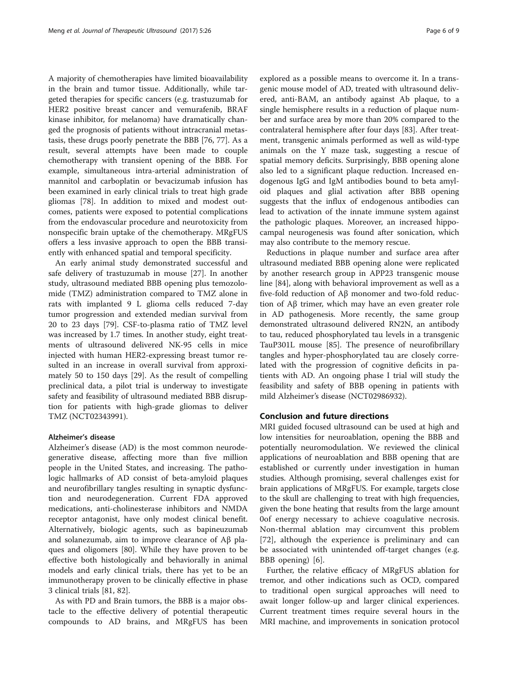A majority of chemotherapies have limited bioavailability in the brain and tumor tissue. Additionally, while targeted therapies for specific cancers (e.g. trastuzumab for HER2 positive breast cancer and vemurafenib, BRAF kinase inhibitor, for melanoma) have dramatically changed the prognosis of patients without intracranial metastasis, these drugs poorly penetrate the BBB [\[76](#page-8-0), [77\]](#page-8-0). As a result, several attempts have been made to couple chemotherapy with transient opening of the BBB. For example, simultaneous intra-arterial administration of mannitol and carboplatin or bevacizumab infusion has been examined in early clinical trials to treat high grade gliomas [\[78\]](#page-8-0). In addition to mixed and modest outcomes, patients were exposed to potential complications from the endovascular procedure and neurotoxicity from nonspecific brain uptake of the chemotherapy. MRgFUS offers a less invasive approach to open the BBB transiently with enhanced spatial and temporal specificity.

An early animal study demonstrated successful and safe delivery of trastuzumab in mouse [[27](#page-7-0)]. In another study, ultrasound mediated BBB opening plus temozolomide (TMZ) administration compared to TMZ alone in rats with implanted 9 L glioma cells reduced 7-day tumor progression and extended median survival from 20 to 23 days [\[79\]](#page-8-0). CSF-to-plasma ratio of TMZ level was increased by 1.7 times. In another study, eight treatments of ultrasound delivered NK-95 cells in mice injected with human HER2-expressing breast tumor resulted in an increase in overall survival from approximately 50 to 150 days [[29](#page-7-0)]. As the result of compelling preclinical data, a pilot trial is underway to investigate safety and feasibility of ultrasound mediated BBB disruption for patients with high-grade gliomas to deliver TMZ (NCT02343991).

# Alzheimer's disease

Alzheimer's disease (AD) is the most common neurodegenerative disease, affecting more than five million people in the United States, and increasing. The pathologic hallmarks of AD consist of beta-amyloid plaques and neurofibrillary tangles resulting in synaptic dysfunction and neurodegeneration. Current FDA approved medications, anti-cholinesterase inhibitors and NMDA receptor antagonist, have only modest clinical benefit. Alternatively, biologic agents, such as bapineuzumab and solanezumab, aim to improve clearance of Aβ plaques and oligomers [\[80](#page-8-0)]. While they have proven to be effective both histologically and behaviorally in animal models and early clinical trials, there has yet to be an immunotherapy proven to be clinically effective in phase 3 clinical trials [[81](#page-8-0), [82](#page-8-0)].

As with PD and Brain tumors, the BBB is a major obstacle to the effective delivery of potential therapeutic compounds to AD brains, and MRgFUS has been

explored as a possible means to overcome it. In a transgenic mouse model of AD, treated with ultrasound delivered, anti-BAM, an antibody against Ab plaque, to a single hemisphere results in a reduction of plaque number and surface area by more than 20% compared to the contralateral hemisphere after four days [\[83](#page-8-0)]. After treatment, transgenic animals performed as well as wild-type animals on the Y maze task, suggesting a rescue of spatial memory deficits. Surprisingly, BBB opening alone also led to a significant plaque reduction. Increased endogenous IgG and IgM antibodies bound to beta amyloid plaques and glial activation after BBB opening suggests that the influx of endogenous antibodies can lead to activation of the innate immune system against the pathologic plaques. Moreover, an increased hippocampal neurogenesis was found after sonication, which may also contribute to the memory rescue.

Reductions in plaque number and surface area after ultrasound mediated BBB opening alone were replicated by another research group in APP23 transgenic mouse line [[84\]](#page-8-0), along with behavioral improvement as well as a five-fold reduction of Aβ monomer and two-fold reduction of Aβ trimer, which may have an even greater role in AD pathogenesis. More recently, the same group demonstrated ultrasound delivered RN2N, an antibody to tau, reduced phosphorylated tau levels in a transgenic TauP301L mouse [[85](#page-8-0)]. The presence of neurofibrillary tangles and hyper-phosphorylated tau are closely correlated with the progression of cognitive deficits in patients with AD. An ongoing phase I trial will study the feasibility and safety of BBB opening in patients with mild Alzheimer's disease (NCT02986932).

# Conclusion and future directions

MRI guided focused ultrasound can be used at high and low intensities for neuroablation, opening the BBB and potentially neuromodulation. We reviewed the clinical applications of neuroablation and BBB opening that are established or currently under investigation in human studies. Although promising, several challenges exist for brain applications of MRgFUS. For example, targets close to the skull are challenging to treat with high frequencies, given the bone heating that results from the large amount 0of energy necessary to achieve coagulative necrosis. Non-thermal ablation may circumvent this problem [[72](#page-8-0)], although the experience is preliminary and can be associated with unintended off-target changes (e.g. BBB opening) [\[6](#page-6-0)].

Further, the relative efficacy of MRgFUS ablation for tremor, and other indications such as OCD, compared to traditional open surgical approaches will need to await longer follow-up and larger clinical experiences. Current treatment times require several hours in the MRI machine, and improvements in sonication protocol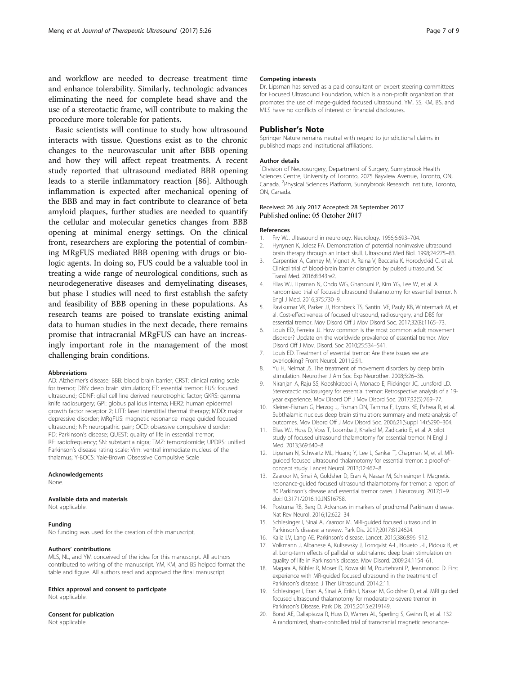<span id="page-6-0"></span>and workflow are needed to decrease treatment time and enhance tolerability. Similarly, technologic advances eliminating the need for complete head shave and the use of a stereotactic frame, will contribute to making the procedure more tolerable for patients.

Basic scientists will continue to study how ultrasound interacts with tissue. Questions exist as to the chronic changes to the neurovascular unit after BBB opening and how they will affect repeat treatments. A recent study reported that ultrasound mediated BBB opening leads to a sterile inflammatory reaction [\[86](#page-8-0)]. Although inflammation is expected after mechanical opening of the BBB and may in fact contribute to clearance of beta amyloid plaques, further studies are needed to quantify the cellular and molecular genetics changes from BBB opening at minimal energy settings. On the clinical front, researchers are exploring the potential of combining MRgFUS mediated BBB opening with drugs or biologic agents. In doing so, FUS could be a valuable tool in treating a wide range of neurological conditions, such as neurodegenerative diseases and demyelinating diseases, but phase I studies will need to first establish the safety and feasibility of BBB opening in these populations. As research teams are poised to translate existing animal data to human studies in the next decade, there remains promise that intracranial MRgFUS can have an increasingly important role in the management of the most challenging brain conditions.

#### Abbreviations

AD: Alzheimer's disease; BBB: blood brain barrier; CRST: clinical rating scale for tremor; DBS: deep brain stimulation; ET: essential tremor; FUS: focused ultrasound; GDNF: glial cell line derived neurotrophic factor; GKRS: gamma knife radiosurgery; GPi: globus pallidus interna; HER2: human epidermal growth factor receptor 2; LITT: laser interstitial thermal therapy; MDD: major depressive disorder; MRgFUS: magnetic resonance image guided focused ultrasound; NP: neuropathic pain; OCD: obsessive compulsive disorder; PD: Parkinson's disease; QUEST: quality of life in essential tremor; RF: radiofrequency; SN: substantia nigra; TMZ: temozolomide; UPDRS: unified Parkinson's disease rating scale; Vim: ventral immediate nucleus of the thalamus; Y-BOCS: Yale-Brown Obsessive Compulsive Scale

#### Acknowledgements

None.

#### Available data and materials

Not applicable.

# Funding

No funding was used for the creation of this manuscript.

# Authors' contributions

MLS, NL, and YM conceived of the idea for this manuscript. All authors contributed to writing of the manuscript. YM, KM, and BS helped format the table and figure. All authors read and approved the final manuscript.

# Ethics approval and consent to participate

Not applicable.

# Consent for publication

Not applicable.

#### Competing interests

Dr. Lipsman has served as a paid consultant on expert steering committees for Focused Ultrasound Foundation, which is a non-profit organization that promotes the use of image-guided focused ultrasound. YM, SS, KM, BS, and MLS have no conflicts of interest or financial disclosures.

### Publisher's Note

Springer Nature remains neutral with regard to jurisdictional claims in published maps and institutional affiliations.

#### Author details

<sup>1</sup> Division of Neurosurgery, Department of Surgery, Sunnybrook Health Sciences Centre, University of Toronto, 2075 Bayview Avenue, Toronto, ON, Canada. <sup>2</sup>Physical Sciences Platform, Sunnybrook Research Institute, Toronto ON, Canada.

#### Received: 26 July 2017 Accepted: 28 September 2017 Published online: 05 October 2017

#### References

- 1. Fry WJ. Ultrasound in neurology. Neurology. 1956;6:693–704.
- 2. Hynynen K, Jolesz FA. Demonstration of potential noninvasive ultrasound brain therapy through an intact skull. Ultrasound Med Biol. 1998;24:275–83.
- 3. Carpentier A, Canney M, Vignot A, Reina V, Beccaria K, Horodyckid C, et al. Clinical trial of blood-brain barrier disruption by pulsed ultrasound. Sci Transl Med. 2016;8:343re2.
- 4. Elias WJ, Lipsman N, Ondo WG, Ghanouni P, Kim YG, Lee W, et al. A randomized trial of focused ultrasound thalamotomy for essential tremor. N Engl J Med. 2016;375:730–9.
- 5. Ravikumar VK, Parker JJ, Hornbeck TS, Santini VE, Pauly KB, Wintermark M, et al. Cost-effectiveness of focused ultrasound, radiosurgery, and DBS for essential tremor. Mov Disord Off J Mov Disord Soc. 2017;32(8):1165–73.
- 6. Louis ED, Ferreira JJ. How common is the most common adult movement disorder? Update on the worldwide prevalence of essential tremor. Mov Disord Off J Mov. Disord. Soc 2010;25:534–541.
- 7. Louis ED. Treatment of essential tremor: Are there issues we are overlooking? Front Neurol. 2011;2:91.
- 8. Yu H, Neimat JS. The treatment of movement disorders by deep brain stimulation. Neurother J Am Soc Exp Neurother. 2008;5:26–36.
- 9. Niranjan A, Raju SS, Kooshkabadi A, Monaco E, Flickinger JC, Lunsford LD. Stereotactic radiosurgery for essential tremor: Retrospective analysis of a 19 year experience. Mov Disord Off J Mov Disord Soc. 2017;32(5):769–77.
- 10. Kleiner-Fisman G, Herzog J, Fisman DN, Tamma F, Lyons KE, Pahwa R, et al. Subthalamic nucleus deep brain stimulation: summary and meta-analysis of outcomes. Mov Disord Off J Mov Disord Soc. 2006;21(Suppl 14):S290–304.
- 11. Elias WJ, Huss D, Voss T, Loomba J, Khaled M, Zadicario E, et al. A pilot study of focused ultrasound thalamotomy for essential tremor. N Engl J Med. 2013;369:640–8.
- 12. Lipsman N, Schwartz ML, Huang Y, Lee L, Sankar T, Chapman M, et al. MRguided focused ultrasound thalamotomy for essential tremor: a proof-ofconcept study. Lancet Neurol. 2013;12:462–8.
- 13. Zaaroor M, Sinai A, Goldsher D, Eran A, Nassar M, Schlesinger I. Magnetic resonance-guided focused ultrasound thalamotomy for tremor: a report of 30 Parkinson's disease and essential tremor cases. J Neurosurg. 2017;1–9. doi[:10.3171/2016.10.JNS16758](http://dx.doi.org/10.3171/2016.10.JNS16758).
- 14. Postuma RB, Berg D. Advances in markers of prodromal Parkinson disease. Nat Rev Neurol. 2016;12:622–34.
- 15. Schlesinger I, Sinai A, Zaaroor M. MRI-guided focused ultrasound in Parkinson's disease: a review. Park Dis. 2017;2017:8124624.
- 16. Kalia LV, Lang AE. Parkinson's disease. Lancet. 2015;386:896–912.
- 17. Volkmann J, Albanese A, Kulisevsky J, Tornqvist A-L, Houeto J-L, Pidoux B, et al. Long-term effects of pallidal or subthalamic deep brain stimulation on quality of life in Parkinson's disease. Mov Disord. 2009;24:1154–61.
- 18. Magara A, Bühler R, Moser D, Kowalski M, Pourtehrani P, Jeanmonod D. First experience with MR-guided focused ultrasound in the treatment of Parkinson's disease. J Ther Ultrasound. 2014;2:11.
- 19. Schlesinger I, Eran A, Sinai A, Erikh I, Nassar M, Goldsher D, et al. MRI guided focused ultrasound thalamotomy for moderate-to-severe tremor in Parkinson's Disease. Park Dis. 2015;2015:e219149.
- 20. Bond AE, Dallapiazza R, Huss D, Warren AL, Sperling S, Gwinn R, et al. 132 A randomized, sham-controlled trial of transcranial magnetic resonance-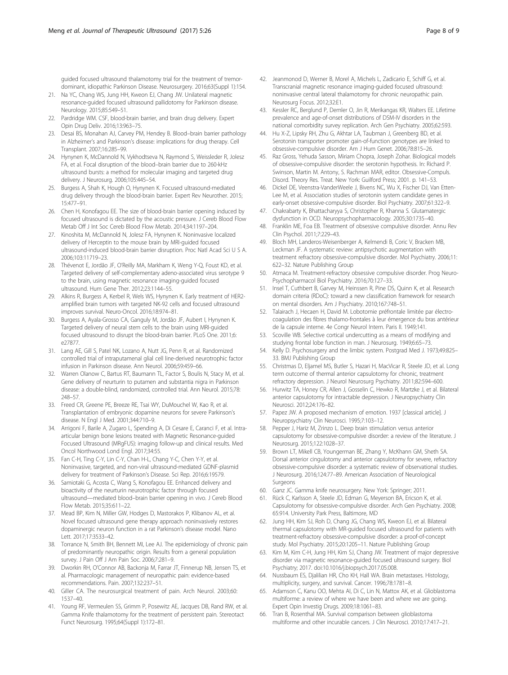<span id="page-7-0"></span>guided focused ultrasound thalamotomy trial for the treatment of tremordominant, idiopathic Parkinson Disease. Neurosurgery. 2016;63(Suppl 1):154.

- 21. Na YC, Chang WS, Jung HH, Kweon EJ, Chang JW. Unilateral magnetic resonance-guided focused ultrasound pallidotomy for Parkinson disease. Neurology. 2015;85:549–51.
- 22. Pardridge WM. CSF, blood-brain barrier, and brain drug delivery. Expert Opin Drug Deliv. 2016;13:963–75.
- 23. Desai BS, Monahan AJ, Carvey PM, Hendey B. Blood–brain barrier pathology in Alzheimer's and Parkinson's disease: implications for drug therapy. Cell Transplant. 2007;16:285–99.
- 24. Hynynen K, McDannold N, Vykhodtseva N, Raymond S, Weissleder R, Jolesz FA, et al. Focal disruption of the blood–brain barrier due to 260-kHz ultrasound bursts: a method for molecular imaging and targeted drug delivery. J Neurosurg. 2006;105:445–54.
- 25. Burgess A, Shah K, Hough O, Hynynen K. Focused ultrasound-mediated drug delivery through the blood-brain barrier. Expert Rev Neurother. 2015; 15:477–91.
- 26. Chen H, Konofagou EE. The size of blood-brain barrier opening induced by focused ultrasound is dictated by the acoustic pressure. J Cereb Blood Flow Metab Off J Int Soc Cereb Blood Flow Metab. 2014;34:1197–204.
- 27. Kinoshita M, McDannold N, Jolesz FA, Hynynen K. Noninvasive localized delivery of Herceptin to the mouse brain by MRI-guided focused ultrasound-induced blood-brain barrier disruption. Proc Natl Acad Sci U S A. 2006;103:11719–23.
- 28. Thévenot E, Jordão JF, O'Reilly MA, Markham K, Weng Y-Q, Foust KD, et al. Targeted delivery of self-complementary adeno-associated virus serotype 9 to the brain, using magnetic resonance imaging-guided focused ultrasound. Hum Gene Ther. 2012;23:1144–55.
- 29. Alkins R, Burgess A, Kerbel R, Wels WS, Hynynen K. Early treatment of HER2 amplified brain tumors with targeted NK-92 cells and focused ultrasound improves survival. Neuro-Oncol. 2016;18:974–81.
- 30. Burgess A, Ayala-Grosso CA, Ganguly M, Jordão JF, Aubert I, Hynynen K. Targeted delivery of neural stem cells to the brain using MRI-guided focused ultrasound to disrupt the blood-brain barrier. PLoS One. 2011;6: e27877.
- 31. Lang AE, Gill S, Patel NK, Lozano A, Nutt JG, Penn R, et al. Randomized controlled trial of intraputamenal glial cell line-derived neurotrophic factor infusion in Parkinson disease. Ann Neurol. 2006;59:459–66.
- 32. Warren Olanow C, Bartus RT, Baumann TL, Factor S, Boulis N, Stacy M, et al. Gene delivery of neurturin to putamen and substantia nigra in Parkinson disease: a double-blind, randomized, controlled trial. Ann Neurol. 2015;78: 248–57.
- 33. Freed CR, Greene PE, Breeze RE, Tsai WY, DuMouchel W, Kao R, et al. Transplantation of embryonic dopamine neurons for severe Parkinson's disease. N Engl J Med. 2001;344:710–9.
- 34. Arrigoni F, Barile A, Zugaro L, Spending A, Di Cesare E, Caranci F, et al. Intraarticular benign bone lesions treated with Magnetic Resonance-guided Focused Ultrasound (MRgFUS): imaging follow-up and clinical results. Med Oncol Northwood Lond Engl. 2017;34:55.
- 35. Fan C-H, Ting C-Y, Lin C-Y, Chan H-L, Chang Y-C, Chen Y-Y, et al. Noninvasive, targeted, and non-viral ultrasound-mediated GDNF-plasmid delivery for treatment of Parkinson's Disease. Sci Rep. 2016;6:19579.
- 36. Samiotaki G, Acosta C, Wang S, Konofagou EE. Enhanced delivery and bioactivity of the neurturin neurotrophic factor through focused ultrasound—mediated blood–brain barrier opening in vivo. J Cereb Blood Flow Metab. 2015;35:611–22.
- 37. Mead BP, Kim N, Miller GW, Hodges D, Mastorakos P, Klibanov AL, et al. Novel focused ultrasound gene therapy approach noninvasively restores dopaminergic neuron function in a rat Parkinson's disease model. Nano Lett. 2017;17:3533–42.
- 38. Torrance N, Smith BH, Bennett MI, Lee AJ. The epidemiology of chronic pain of predominantly neuropathic origin. Results from a general population survey. J Pain Off J Am Pain Soc. 2006;7:281–9.
- 39. Dworkin RH, O'Connor AB, Backonja M, Farrar JT, Finnerup NB, Jensen TS, et al. Pharmacologic management of neuropathic pain: evidence-based recommendations. Pain. 2007;132:237–51.
- 40. Giller CA. The neurosurgical treatment of pain. Arch Neurol. 2003;60: 1537–40.
- 41. Young RF, Vermeulen SS, Grimm P, Posewitz AE, Jacques DB, Rand RW, et al. Gamma Knife thalamotomy for the treatment of persistent pain. Stereotact Funct Neurosurg. 1995;64(Suppl 1):172–81.
- 42. Jeanmonod D, Werner B, Morel A, Michels L, Zadicario E, Schiff G, et al. Transcranial magnetic resonance imaging-guided focused ultrasound: noninvasive central lateral thalamotomy for chronic neuropathic pain. Neurosurg Focus. 2012;32:E1.
- 43. Kessler RC, Berglund P, Demler O, Jin R, Merikangas KR, Walters EE. Lifetime prevalence and age-of-onset distributions of DSM-IV disorders in the national comorbidity survey replication. Arch Gen Psychiatry. 2005;62:593.
- 44. Hu X-Z, Lipsky RH, Zhu G, Akhtar LA, Taubman J, Greenberg BD, et al. Serotonin transporter promoter gain-of-function genotypes are linked to obsessive-compulsive disorder. Am J Hum Genet. 2006;78:815–26.
- 45. Raz Gross, Yehuda Sasson, Miriam Chopra, Joseph Zohar. Biological models of obsessive-compulsive disorder: the serotonin hypothesis. In: Richard P. Swinson, Martin M. Antony, S. Rachman MAR, editor. Obsessive-Compuls. Disord. Theory Res. Treat. New York: Guilford Press; 2001. p. 141–53.
- 46. Dickel DE, Veenstra-VanderWeele J, Bivens NC, Wu X, Fischer DJ, Van Etten-Lee M, et al. Association studies of serotonin system candidate genes in early-onset obsessive-compulsive disorder. Biol Psychiatry. 2007;61:322–9.
- 47. Chakrabarty K, Bhattacharyya S, Christopher R, Khanna S. Glutamatergic dysfunction in OCD. Neuropsychopharmacology. 2005;30:1735–40.
- 48. Franklin ME, Foa EB. Treatment of obsessive compulsive disorder. Annu Rev Clin Psychol. 2011;7:229–43.
- 49. Bloch MH, Landeros-Weisenberger A, Kelmendi B, Coric V, Bracken MB, Leckman JF. A systematic review: antipsychotic augmentation with treatment refractory obsessive-compulsive disorder. Mol Psychiatry. 2006;11: 622–32. Nature Publishing Group
- 50. Atmaca M. Treatment-refractory obsessive compulsive disorder. Prog Neuro-Psychopharmacol Biol Psychiatry. 2016;70:127–33.
- 51. Insel T, Cuthbert B, Garvey M, Heinssen R, Pine DS, Quinn K, et al. Research domain criteria (RDoC): toward a new classification framework for research on mental disorders. Am J Psychiatry. 2010;167:748–51.
- 52. Talairach J, Hecaen H, David M. Lobotomie préfrontale limitée par électrocoagulation des fibres thalamo-frontales à leur émergence du bras antérieur de la capsule interne. 4e Congr Neurol Intern. Paris II. 1949;141.
- 53. Scoville WB. Selective cortical undercutting as a means of modifying and studying frontal lobe function in man. J Neurosurg. 1949;6:65–73.
- 54. Kelly D. Psychosurgery and the limbic system. Postgrad Med J. 1973;49:825– 33. BMJ Publishing Group
- 55. Christmas D, Eljamel MS, Butler S, Hazari H, MacVicar R, Steele JD, et al. Long term outcome of thermal anterior capsulotomy for chronic, treatment refractory depression. J Neurol Neurosurg Psychiatry. 2011;82:594–600.
- 56. Hurwitz TA, Honey CR, Allen J, Gosselin C, Hewko R, Martzke J, et al. Bilateral anterior capsulotomy for intractable depression. J Neuropsychiatry Clin Neurosci. 2012;24:176–82.
- 57. Papez JW. A proposed mechanism of emotion. 1937 [classical article]. J Neuropsychiatry Clin Neurosci. 1995;7:103–12.
- 58. Pepper J, Hariz M, Zrinzo L. Deep brain stimulation versus anterior capsulotomy for obsessive-compulsive disorder: a review of the literature. J Neurosurg. 2015;122:1028–37.
- 59. Brown LT, Mikell CB, Youngerman BE, Zhang Y, McKhann GM, Sheth SA. Dorsal anterior cingulotomy and anterior capsulotomy for severe, refractory obsessive-compulsive disorder: a systematic review of observational studies. J Neurosurg. 2016;124:77–89. American Association of Neurological Surgeons
- 60. Ganz JC. Gamma knife neurosurgery. New York: Springer; 2011.
- 61. Rück C, Karlsson A, Steele JD, Edman G, Meyerson BA, Ericson K, et al. Capsulotomy for obsessive-compulsive disorder. Arch Gen Psychiatry. 2008; 65:914. University Park Press, Baltimore, MD
- 62. Jung HH, Kim SJ, Roh D, Chang JG, Chang WS, Kweon EJ, et al. Bilateral thermal capsulotomy with MR-guided focused ultrasound for patients with treatment-refractory obsessive-compulsive disorder: a proof-of-concept study. Mol Psychiatry. 2015;20:1205–11. Nature Publishing Group
- 63. Kim M, Kim C-H, Jung HH, Kim SJ, Chang JW. Treatment of major depressive disorder via magnetic resonance-guided focused ultrasound surgery. Biol Psychiatry; 2017. doi:[10.1016/j.biopsych.2017.05.008](http://dx.doi.org/10.1016/j.biopsych.2017.05.008).
- 64. Nussbaum ES, Djalilian HR, Cho KH, Hall WA. Brain metastases. Histology, multiplicity, surgery, and survival. Cancer. 1996;78:1781–8.
- 65. Adamson C, Kanu OO, Mehta AI, Di C, Lin N, Mattox AK, et al. Glioblastoma multiforme: a review of where we have been and where we are going. Expert Opin Investig Drugs. 2009;18:1061–83.
- 66. Tran B, Rosenthal MA. Survival comparison between glioblastoma multiforme and other incurable cancers. J Clin Neurosci. 2010;17:417–21.